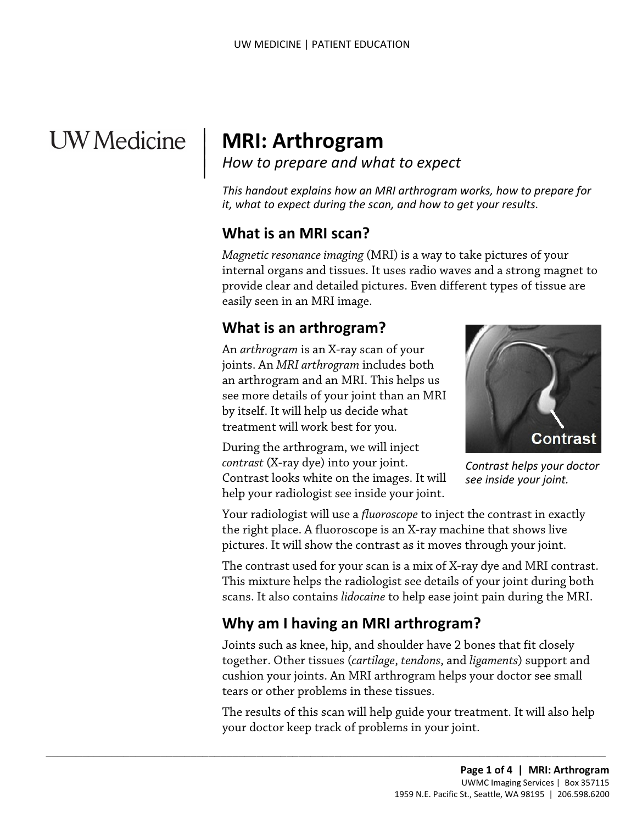# **UW** Medicine

|

# <sup>|</sup>**MRI: Arthrogram** | *How to prepare and what to expect* <sup>|</sup>

*This handout explains how an MRI arthrogram works, how to prepare for it, what to expect during the scan, and how to get your results.* 

# **What is an MRI scan?**

 internal organs and tissues. It uses radio waves and a strong magnet to *Magnetic resonance imaging* (MRI) is a way to take pictures of your provide clear and detailed pictures. Even different types of tissue are easily seen in an MRI image.

# **What is an arthrogram?**

 an arthrogram and an MRI. This helps us by itself. It will help us decide what An *arthrogram* is an X-ray scan of your joints. An *MRI arthrogram* includes both see more details of your joint than an MRI treatment will work best for you.

During the arthrogram, we will inject *contrast* (X-ray dye) into your joint. Contrast looks white on the images. It will help your radiologist see inside your joint.

Contrast

*Contrast helps your doctor see inside your joint.* 

 Your radiologist will use a *fluoroscope* to inject the contrast in exactly the right place. A fluoroscope is an X-ray machine that shows live pictures. It will show the contrast as it moves through your joint.

 scans. It also contains *lidocaine* to help ease joint pain during the MRI. The contrast used for your scan is a mix of X-ray dye and MRI contrast. This mixture helps the radiologist see details of your joint during both

# **Why am I having an MRI arthrogram?**

 $\_$  , and the set of the set of the set of the set of the set of the set of the set of the set of the set of the set of the set of the set of the set of the set of the set of the set of the set of the set of the set of th

Joints such as knee, hip, and shoulder have 2 bones that fit closely together. Other tissues (*cartilage*, *tendons*, and *ligaments*) support and cushion your joints. An MRI arthrogram helps your doctor see small tears or other problems in these tissues.

 The results of this scan will help guide your treatment. It will also help your doctor keep track of problems in your joint.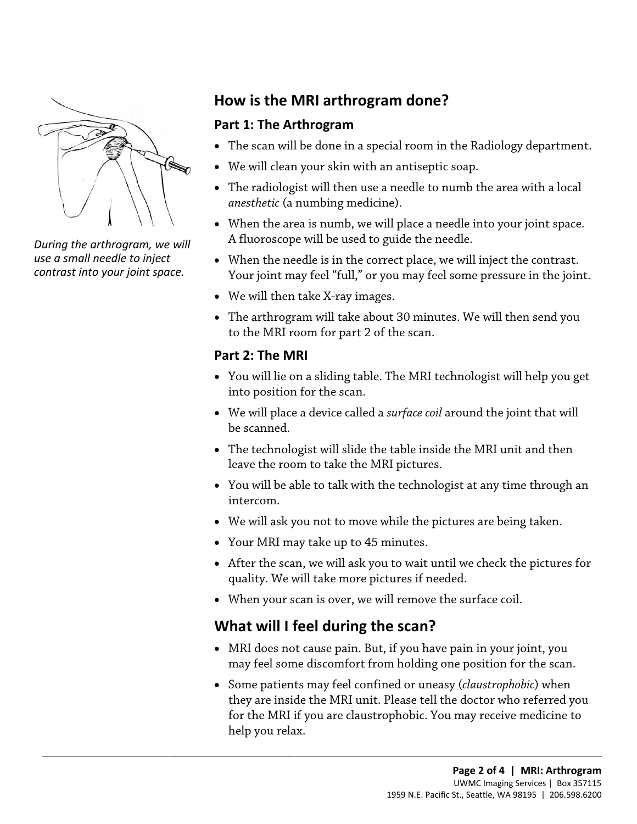

*During the arthrogram, we will use a small needle to inject contrast into your joint space.* 

# **How is the MRI arthrogram done?**

#### **Part 1: The Arthrogram**

- The scan will be done in a special room in the Radiology department.
- We will clean your skin with an antiseptic soap.
- *anesthetic* (a numbing medicine). • The radiologist will then use a needle to numb the area with a local
- When the area is numb, we will place a needle into your joint space. A fluoroscope will be used to guide the needle.
- When the needle is in the correct place, we will inject the contrast. Your joint may feel "full," or you may feel some pressure in the joint.
- We will then take X-ray images.
- • The arthrogram will take about 30 minutes. We will then send you to the MRI room for part 2 of the scan.

#### **Part 2: The MRI**

- • You will lie on a sliding table. The MRI technologist will help you get into position for the scan.
- We will place a device called a *surface coil* around the joint that will be scanned.
- • The technologist will slide the table inside the MRI unit and then leave the room to take the MRI pictures.
- • You will be able to talk with the [technologist](javascript:glossAry() at any time through an intercom.
- We will ask you not to move while the pictures are being taken.
- Your MRI may take up to 45 minutes.
- After the scan, we will ask you to wait until we check the pictures for quality. We will take more pictures if needed.
- When your scan is over, we will remove the surface coil.

# **What will I feel during the scan?**

 $\_$  ,  $\_$  ,  $\_$  ,  $\_$  ,  $\_$  ,  $\_$  ,  $\_$  ,  $\_$  ,  $\_$  ,  $\_$  ,  $\_$  ,  $\_$  ,  $\_$  ,  $\_$  ,  $\_$  ,  $\_$  ,  $\_$  ,  $\_$  ,  $\_$  ,  $\_$  ,  $\_$  ,  $\_$  ,  $\_$  ,  $\_$  ,  $\_$  ,  $\_$  ,  $\_$  ,  $\_$  ,  $\_$  ,  $\_$  ,  $\_$  ,  $\_$  ,  $\_$  ,  $\_$  ,  $\_$  ,  $\_$  ,  $\_$  ,

- MRI does not cause pain. But, if you have pain in your joint, you may feel some discomfort from holding one position for the scan.
- for the MRI if you are claustrophobic. You may receive medicine to • Some patients may feel confined or uneasy (*claustrophobic*) when they are inside the MRI unit. Please tell the doctor who referred you help you relax.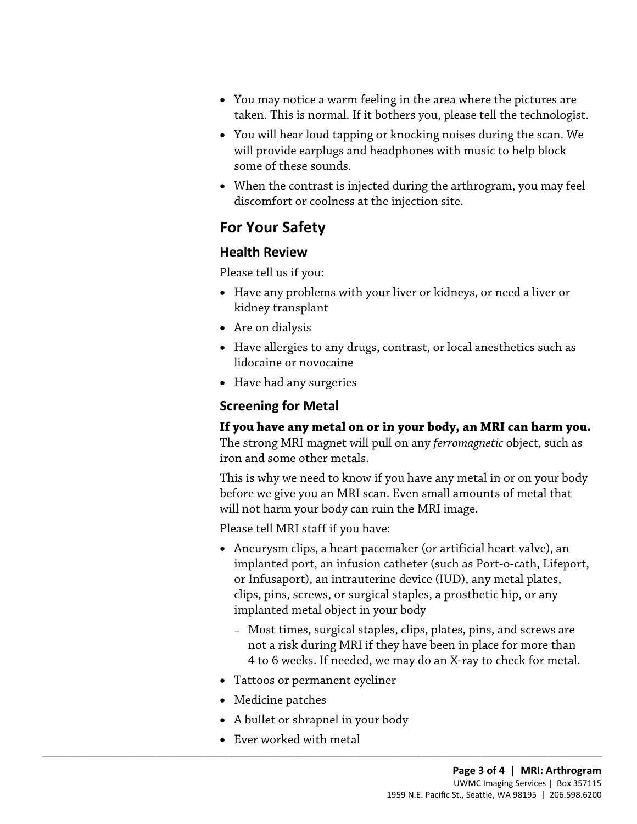- taken. This is normal. If it bothers you, please tell the [technologist.](javascript:glossAry() • You may notice a warm feeling in the area where the pictures are
- You will hear loud tapping or knocking noises during the scan. We will provide earplugs and headphones with music to help block some of these sounds.
- When the contrast is injected during the arthrogram, you may feel discomfort or coolness at the injection site.

# **For Your Safety**

#### **Health Review**

Please tell us if you:

- Have any problems with your liver or kidneys, or need a liver or kidney transplant
- Are on dialysis
- Have allergies to any drugs, contrast, or local anesthetics such as lidocaine or novocaine
- Have had any surgeries

#### **Screening for Metal**

**If you have any metal on or in your body, an MRI can harm you.** 

The strong MRI magnet will pull on any *ferromagnetic* object, such as iron and some other metals.

This is why we need to know if you have any metal in or on your body before we give you an MRI scan. Even small amounts of metal that will not harm your body can ruin the MRI image.

Please tell MRI staff if you have:

- Aneurysm clips, a heart pacemaker (or artificial heart valve), an implanted port, an infusion catheter (such as Port-o-cath, Lifeport, or Infusaport), an intrauterine device (IUD), any metal plates, clips, pins, screws, or surgical staples, a prosthetic hip, or any implanted metal object in your body
	- Most times, surgical staples, clips, plates, pins, and screws are not a risk during MRI if they have been in place for more than 4 to 6 weeks. If needed, we may do an X-ray to check for metal.
- Tattoos or permanent eyeliner
- Medicine patches
- A bullet or shrapnel in your body

 $\_$  ,  $\_$  ,  $\_$  ,  $\_$  ,  $\_$  ,  $\_$  ,  $\_$  ,  $\_$  ,  $\_$  ,  $\_$  ,  $\_$  ,  $\_$  ,  $\_$  ,  $\_$  ,  $\_$  ,  $\_$  ,  $\_$  ,  $\_$  ,  $\_$  ,  $\_$  ,  $\_$  ,  $\_$  ,  $\_$  ,  $\_$  ,  $\_$  ,  $\_$  ,  $\_$  ,  $\_$  ,  $\_$  ,  $\_$  ,  $\_$  ,  $\_$  ,  $\_$  ,  $\_$  ,  $\_$  ,  $\_$  ,  $\_$  ,

• Ever worked with metal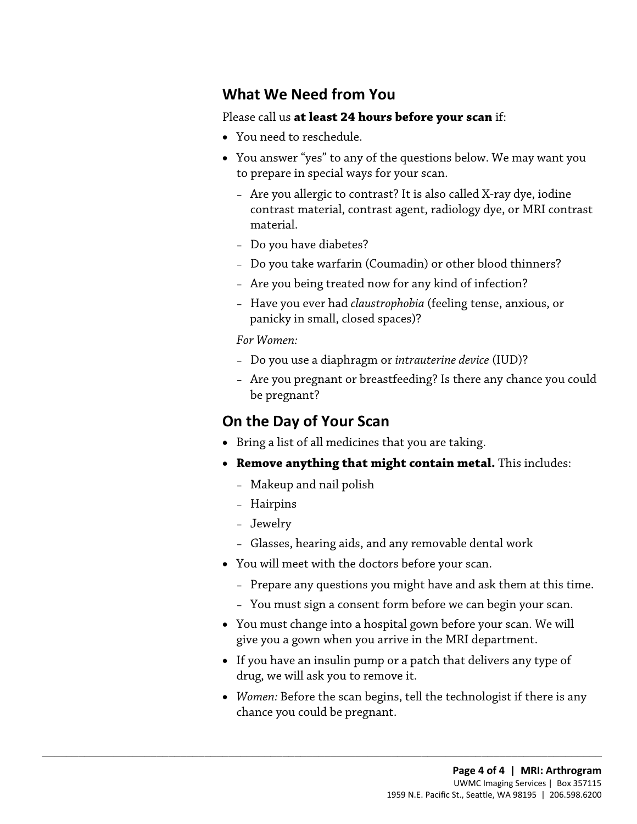## **What We Need from You**

#### Please call us **at least 24 hours before your scan** if:

- You need to reschedule.
- • You answer "yes" to any of the questions below. We may want you to prepare in special ways for your scan.
	- Are you allergic to contrast? It is also called X-ray dye, iodine contrast material, contrast agent, radiology dye, or MRI contrast material.
	- Do you have diabetes?
	- Do you take warfarin (Coumadin) or other blood thinners?
	- Are you being treated now for any kind of infection?
	- panicky in small, closed spaces)? – Have you ever had *claustrophobia* (feeling tense, anxious, or

#### *For Women:*

- Do you use a diaphragm or *intrauterine device* (IUD)?
- Are you pregnant or breastfeeding? Is there any chance you could be pregnant?

### **On the Day of Your Scan**

- Bring a list of all medicines that you are taking.
- • **Remove anything that might contain metal.** This includes:
	- Makeup and nail polish

 $\_$  ,  $\_$  ,  $\_$  ,  $\_$  ,  $\_$  ,  $\_$  ,  $\_$  ,  $\_$  ,  $\_$  ,  $\_$  ,  $\_$  ,  $\_$  ,  $\_$  ,  $\_$  ,  $\_$  ,  $\_$  ,  $\_$  ,  $\_$  ,  $\_$  ,  $\_$  ,  $\_$  ,  $\_$  ,  $\_$  ,  $\_$  ,  $\_$  ,  $\_$  ,  $\_$  ,  $\_$  ,  $\_$  ,  $\_$  ,  $\_$  ,  $\_$  ,  $\_$  ,  $\_$  ,  $\_$  ,  $\_$  ,  $\_$  ,

- Hairpins
- Jewelry
- Glasses, hearing aids, and any removable dental work
- You will meet with the doctors before your scan.
	- Prepare any questions you might have and ask them at this time.
	- You must sign a consent form before we can begin your scan.
- You must change into a hospital gown before your scan. We will give you a gown when you arrive in the MRI department.
- If you have an insulin pump or a patch that delivers any type of drug, we will ask you to remove it.
- • *Women:* Before the scan begins, tell the technologist if there is any chance you could be pregnant.